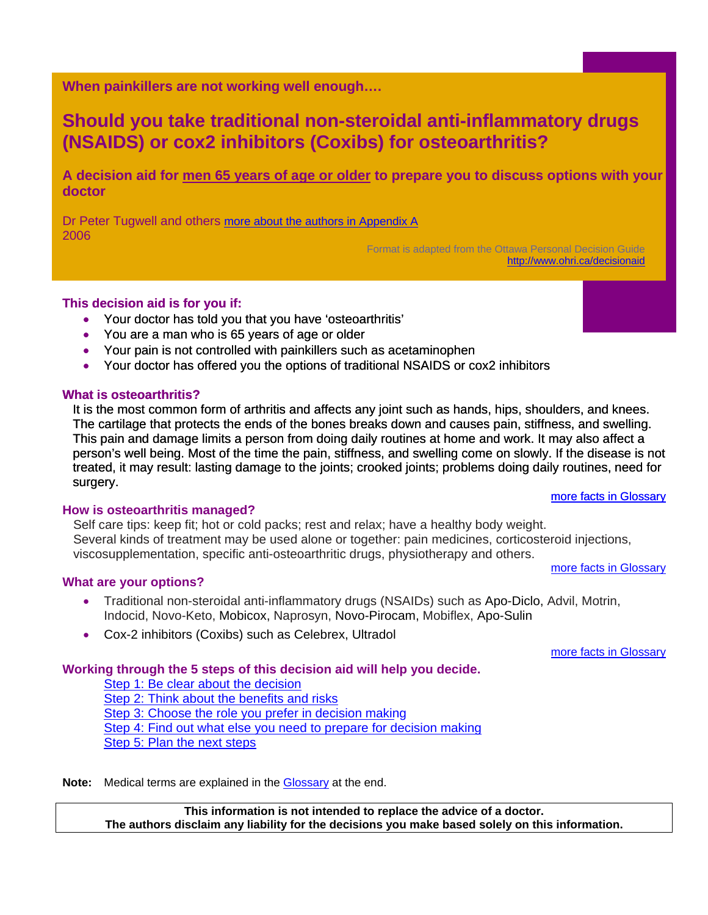<span id="page-0-0"></span>**When painkillers are not working well enough….** 

# **Should you take traditional non-steroidal anti-inflammatory drugs (NSAIDS) or cox2 inhibitors (Coxibs) for osteoarthritis?**

**A decision aid for men 65 years of age or older to prepare you to discuss options with your doctor** 

Dr Peter Tugwell and others [more about the authors in Appendix A](#page-5-0) 2006

> Format is adapted from the Ottawa Personal Decision Guide <http://www.ohri.ca/decisionaid>

#### **This decision aid is for you if:**

- Your doctor has told you that you have 'osteoarthritis'
- You are a man who is 65 years of age or older
- Your pain is not controlled with painkillers such as acetaminophen
- Your doctor has offered you the options of traditional NSAIDS or cox2 inhibitors

#### **What is osteoarthritis?**

It is the most common form of arthritis and affects any joint such as hands, hips, shoulders, and knees. The cartilage that protects the ends of the bones breaks down and causes pain, stiffness, and swelling. This pain and damage limits a person from doing daily routines at home and work. It may also affect a person's well being. Most of the time the pain, stiffness, and swelling come on slowly. If the disease is not treated, it may result: lasting damage to the joints; crooked joints; problems doing daily routines, need for surgery. [more facts in Glossary](#page-6-0)

#### **How is osteoarthritis managed?**

Self care tips: keep fit; hot or cold packs; rest and relax; have a healthy body weight. Several kinds of treatment may be used alone or together: pain medicines, corticosteroid injections, viscosupplementation, specific anti-osteoarthritic drugs, physiotherapy and others. [more facts in Glossary](#page-6-0)

#### **What are your options?**

- Traditional non-steroidal anti-inflammatory drugs (NSAIDs) such as Apo-Diclo, Advil, Motrin, Indocid, Novo-Keto, Mobicox, Naprosyn, Novo-Pirocam, Mobiflex, Apo-Sulin
- Cox-2 inhibitors (Coxibs) such as Celebrex, Ultradol

[more facts in Glossary](#page-6-0)

#### **Working through the 5 steps of this decision aid will help you decide.**

[Step 1: Be clear about the decision](#page-1-0) [Step 2: Think about the benefits and risks](#page-2-0) Step 3: Choose [the role you prefer in decision makin](#page-4-0)g [Step 4: Find out what else you need to prepare for decision making](#page-4-0) [Step 5: Plan the next steps](#page-4-0)

**Note:** Medical terms are explained in the [Glossary](#page-6-0) at the end.

**This information is not intended to replace the advice of a doctor. The authors disclaim any liability for the decisions you make based solely on this information.**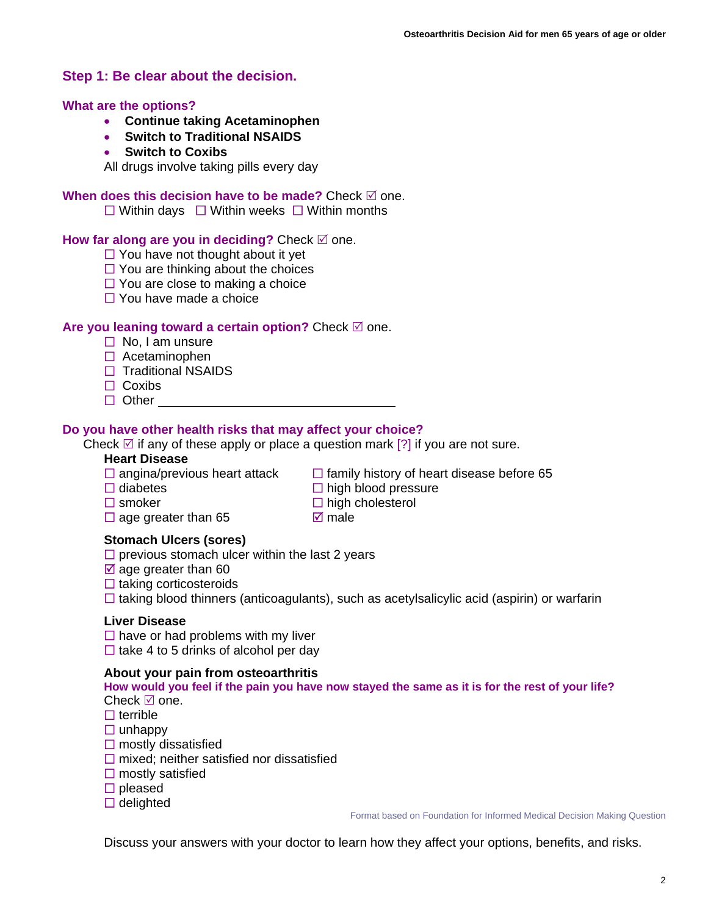# <span id="page-1-0"></span>**Step 1: Be clear about the decision.**

#### **What are the options?**

- **Continue taking Acetaminophen**
- **Switch to Traditional NSAIDS**
- **Switch to Coxibs**

All drugs involve taking pills every day

#### **When does this decision have to be made?** Check  $\boxtimes$  one.

 $\Box$  Within days  $\Box$  Within weeks  $\Box$  Within months

#### **How far along are you in deciding?** Check  $\mathbb{Z}$  one.

- $\Box$  You have not thought about it yet
- $\Box$  You are thinking about the choices
- $\Box$  You are close to making a choice
- $\Box$  You have made a choice

#### **Are you leaning toward a certain option?** Check ⊠ one.

- $\Box$  No. I am unsure
- $\Box$  Acetaminophen
- $\Box$  Traditional NSAIDS
- $\Box$  Coxibs
- $\Box$  Other

#### **Do you have other health risks that may affect your choice?**

Check  $\boxtimes$  if any of these apply or place a question mark [?] if you are not sure.

#### **Heart Disease**

- 
- 
- 
- $\Box$  age greater than 65  $\Box$  male
- **Stomach Ulcers (sores)**
- $\square$  previous stomach ulcer within the last 2 years
- $\boxtimes$  age greater than 60
- $\Box$  taking corticosteroids
- $\Box$  taking blood thinners (anticoagulants), such as acetylsalicylic acid (aspirin) or warfarin

#### **Liver Disease**

 $\Box$  have or had problems with my liver  $\Box$  take 4 to 5 drinks of alcohol per day

#### **About your pain from osteoarthritis**

#### **How would you feel if the pain you have now stayed the same as it is for the rest of your life?**  Check  $\boxtimes$  one.

- $\Box$  terrible
- $\Box$  unhappy
- $\square$  mostly dissatisfied
- $\square$  mixed; neither satisfied nor dissatisfied
- $\square$  mostly satisfied
- $\square$  pleased
- $\Box$  delighted

Format based on Foundation for Informed Medical Decision Making Question

Discuss your answers with your doctor to learn how they affect your options, benefits, and risks.

- $\Box$  angina/previous heart attack  $\Box$  family history of heart disease before 65
- $\Box$  diabetes  $\Box$  high blood pressure
- $\square$  smoker  $\square$  high cholesterol
	-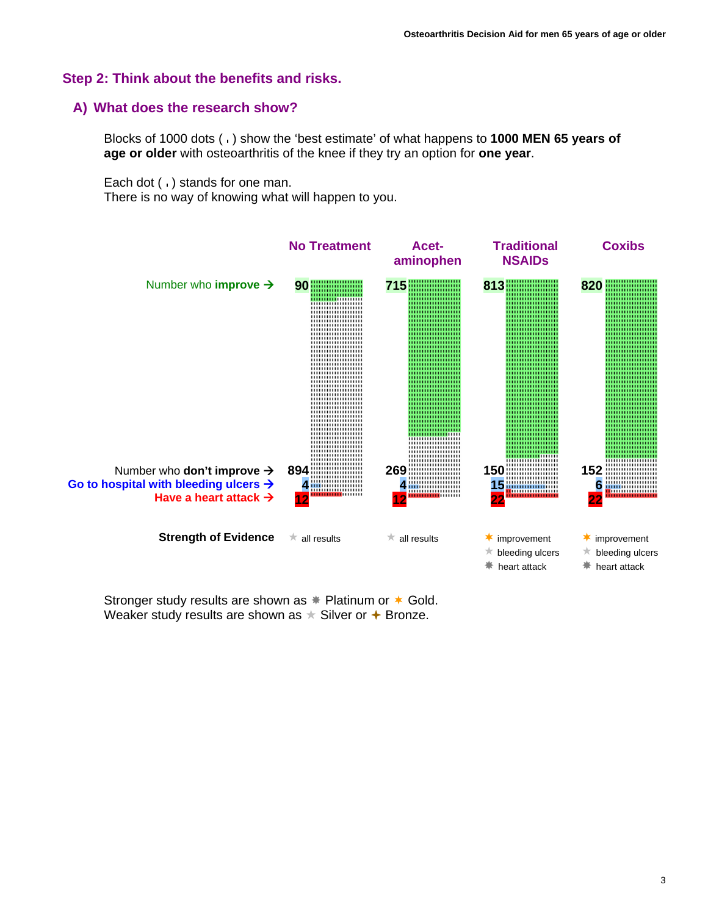#### <span id="page-2-0"></span>**Step 2: Think about the benefits and risks.**

#### **A) What does the research show?**

Blocks of 1000 dots ( ) show the 'best estimate' of what happens to **1000 MEN 65 years of age or older** with osteoarthritis of the knee if they try an option for **one year**.

Each dot () stands for one man.

There is no way of knowing what will happen to you.



Stronger study results are shown as  $*$  Platinum or  $*$  Gold. Weaker study results are shown as  $\star$  Silver or  $\star$  Bronze.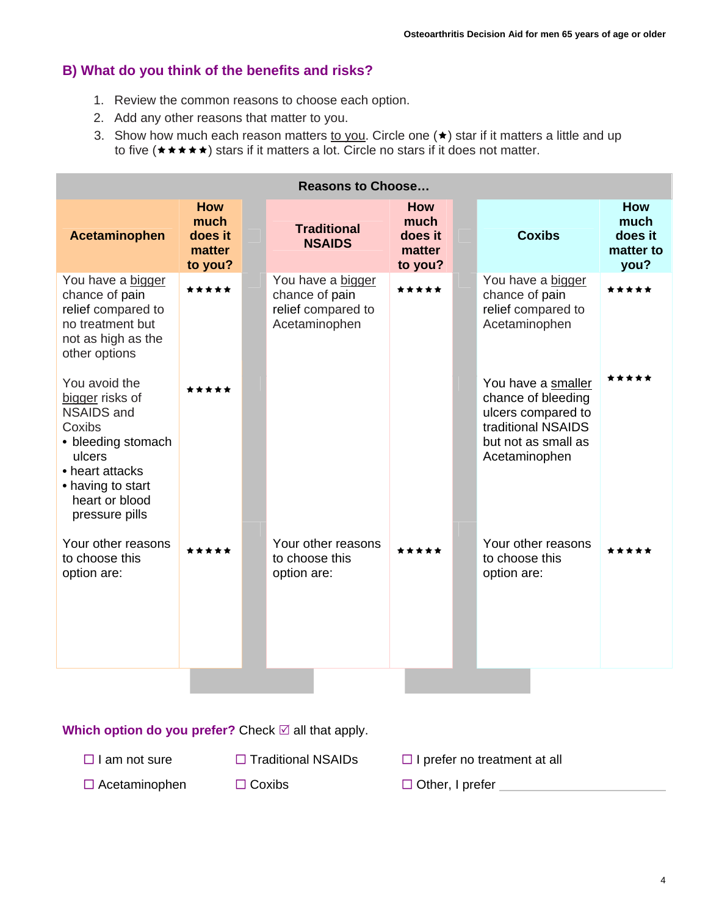# **B) What do you think of the benefits and risks?**

- 1. Review the common reasons to choose each option.
- 2. Add any other reasons that matter to you.
- 3. Show how much each reason matters to you. Circle one  $(\star)$  star if it matters a little and up to five  $(\star \star \star \star)$  stars if it matters a lot. Circle no stars if it does not matter.

| <b>Reasons to Choose</b>                                                                                                                                                    |                                                    |  |                                                                            |                                             |  |                                                                                                                              |                                                    |  |  |
|-----------------------------------------------------------------------------------------------------------------------------------------------------------------------------|----------------------------------------------------|--|----------------------------------------------------------------------------|---------------------------------------------|--|------------------------------------------------------------------------------------------------------------------------------|----------------------------------------------------|--|--|
| Acetaminophen                                                                                                                                                               | <b>How</b><br>much<br>does it<br>matter<br>to you? |  | <b>Traditional</b><br><b>NSAIDS</b>                                        | How<br>much<br>does it<br>matter<br>to you? |  | <b>Coxibs</b>                                                                                                                | <b>How</b><br>much<br>does it<br>matter to<br>you? |  |  |
| You have a bigger<br>chance of pain<br>relief compared to<br>no treatment but<br>not as high as the<br>other options                                                        | *****                                              |  | You have a bigger<br>chance of pain<br>relief compared to<br>Acetaminophen | *****                                       |  | You have a bigger<br>chance of pain<br>relief compared to<br>Acetaminophen                                                   | *****                                              |  |  |
| You avoid the<br>bigger risks of<br><b>NSAIDS</b> and<br>Coxibs<br>• bleeding stomach<br>ulcers<br>• heart attacks<br>• having to start<br>heart or blood<br>pressure pills | ****                                               |  |                                                                            |                                             |  | You have a smaller<br>chance of bleeding<br>ulcers compared to<br>traditional NSAIDS<br>but not as small as<br>Acetaminophen | *****                                              |  |  |
| Your other reasons<br>to choose this<br>option are:                                                                                                                         | *****                                              |  | Your other reasons<br>to choose this<br>option are:                        | *****                                       |  | Your other reasons<br>to choose this<br>option are:                                                                          | *****                                              |  |  |

**Which option do you prefer?** Check ⊠ all that apply.

- $\Box$  I am not sure  $\Box$  Traditional NSAIDs  $\Box$  I prefer no treatment at all
- □ Acetaminophen □ Coxibs □ Other, I prefer
-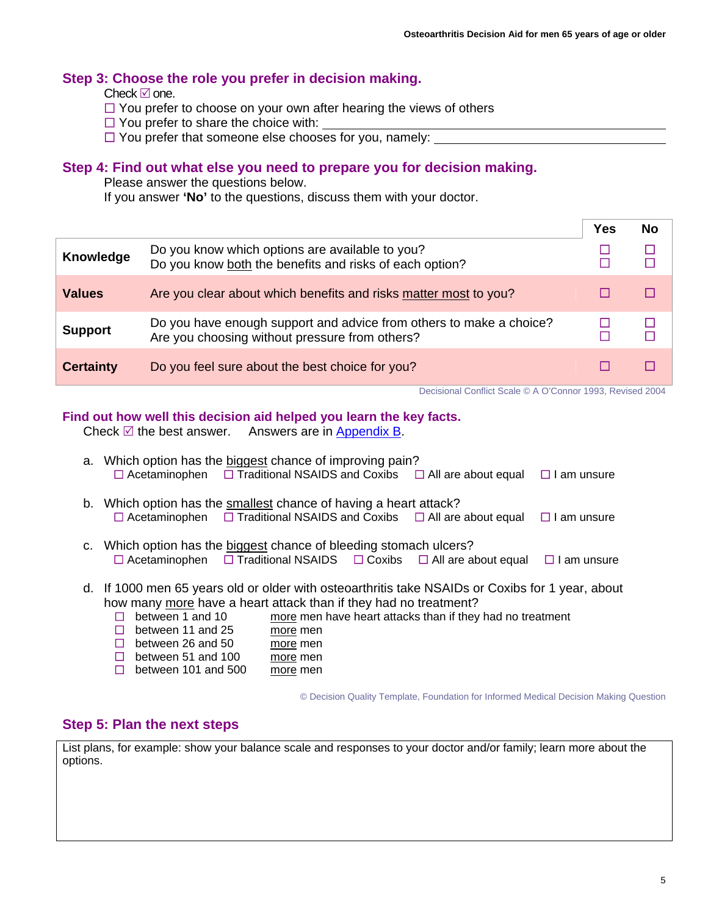### <span id="page-4-0"></span>**[Step 3](#page-0-0): Choose the role you prefer in decision making.**

Check  $\boxtimes$  one.

- $\Box$  You prefer to choose on your own after hearing the views of others
- $\Box$  You prefer to share the choice with:
- $\Box$  You prefer that someone else chooses for you, namely:

### **Step 4: Find out what else you need to prepare you for decision making.**

Please answer the questions below.

If you answer **'No'** to the questions, discuss them with your doctor.

|                  |                                                                                                                       | Yes | No |
|------------------|-----------------------------------------------------------------------------------------------------------------------|-----|----|
| Knowledge        | Do you know which options are available to you?<br>Do you know both the benefits and risks of each option?            |     |    |
| <b>Values</b>    | Are you clear about which benefits and risks matter most to you?                                                      |     |    |
| <b>Support</b>   | Do you have enough support and advice from others to make a choice?<br>Are you choosing without pressure from others? |     |    |
| <b>Certainty</b> | Do you feel sure about the best choice for you?                                                                       |     |    |

Decisional Conflict Scale © A O'Connor 1993, Revised 2004

#### **Find out how well this decision aid helped you learn the key facts.**

Check  $\mathbb Z$  the best answer. Answers are in [Appendix B](#page-5-0).

| a. Which option has the biggest chance of improving pain?<br>$\Box$ Acetaminophen $\Box$ Traditional NSAIDS and Coxibs $\Box$ All are about equal $\Box$ I am unsure                                                                                                                                                                                                                      |  |  |                    |  |  |  |  |
|-------------------------------------------------------------------------------------------------------------------------------------------------------------------------------------------------------------------------------------------------------------------------------------------------------------------------------------------------------------------------------------------|--|--|--------------------|--|--|--|--|
| b. Which option has the smallest chance of having a heart attack?<br>$\Box$ Acetaminophen $\Box$ Traditional NSAIDS and Coxibs $\Box$ All are about equal $\Box$ I am unsure                                                                                                                                                                                                              |  |  |                    |  |  |  |  |
| c. Which option has the biggest chance of bleeding stomach ulcers?<br>$\Box$ Acetaminophen $\Box$ Traditional NSAIDS $\Box$ Coxibs $\Box$ All are about equal                                                                                                                                                                                                                             |  |  | $\Box$ I am unsure |  |  |  |  |
| d. If 1000 men 65 years old or older with osteoarthritis take NSAIDs or Coxibs for 1 year, about<br>how many more have a heart attack than if they had no treatment?<br>between 1 and 10<br>more men have heart attacks than if they had no treatment<br>П<br>between 11 and 25<br>more men<br>H<br>between 26 and 50<br>$\Box$<br>more men<br>$\Box$ botusen $E4$ and $100$<br>~~~~~ ~~~ |  |  |                    |  |  |  |  |

 $\Box$  between 51 and 100 more men

 $\Box$  between 101 and 500 more men

© Decision Quality Template, Foundation for Informed Medical Decision Making Question

# **Step 5: Plan the next steps**

List plans, for example: show your balance scale and responses to your doctor and/or family; learn more about the options.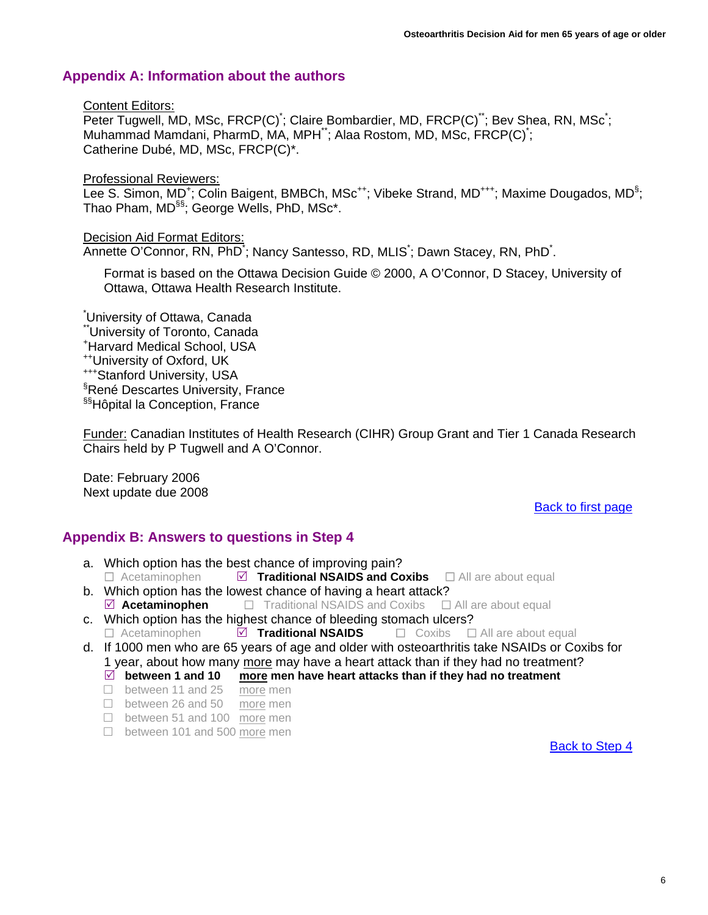# <span id="page-5-0"></span>**Appendix A: Information about the authors**

#### Content Editors:

Peter Tugwell, MD, MSc, FRCP(C)<sup>\*</sup>; Claire Bombardier, MD, FRCP(C)<sup>\*\*</sup>; Bev Shea, RN, MSc<sup>\*</sup>; Muhammad Mamdani, PharmD, MA, MPH\*\*; Alaa Rostom, MD, MSc, FRCP(C)\* ; Catherine Dubé, MD, MSc, FRCP(C)\*.

Professional Reviewers:

Lee S. Simon, MD<sup>+</sup>; Colin Baigent, BMBCh, MSc<sup>++</sup>; Vibeke Strand, MD<sup>+++</sup>; Maxime Dougados, MD<sup>§</sup>; Thao Pham, MD<sup>§§</sup>; George Wells, PhD, MSc<sup>\*</sup>.

#### Decision Aid Format Editors:

Annette O'Connor, RN, PhD<sup>\*</sup>; Nancy Santesso, RD, MLIS<sup>\*</sup>; Dawn Stacey, RN, PhD<sup>\*</sup>.

Format is based on the Ottawa Decision Guide © 2000, A O'Connor, D Stacey, University of Ottawa, Ottawa Health Research Institute.

\* University of Ottawa, Canada \*\*University of Toronto, Canada + Harvard Medical School, USA ++University of Oxford, UK +++Stanford University, USA § René Descartes University, France §§Hôpital la Conception, France

Funder: Canadian Institutes of Health Research (CIHR) Group Grant and Tier 1 Canada Research Chairs held by P Tugwell and A O'Connor.

Date: February 2006 Next update due 2008

#### [Back to first page](#page-0-0)

# **Appendix B: Answers to questions in Step 4**

- a. Which option has the best chance of improving pain? □ Acetaminophen *□* **Traditional NSAIDS and Coxibs** □ All are about equal
- b. Which option has the lowest chance of having a heart attack?  $\Box$  **Acetaminophen**  $\Box$  **Traditional NSAIDS and Coxibs**  $\Box$  All are about equal
- c. Which option has the highest chance of bleeding stomach ulcers?<br>  $\Box$  Acetaminophen  $\Box$  **Traditional NSAIDS**  $\Box$  Coxibs  $\Box$  $\Box$  **Traditional NSAIDS**  $\Box$  Coxibs  $\Box$  All are about equal
- d. If 1000 men who are 65 years of age and older with osteoarthritis take NSAIDs or Coxibs for 1 year, about how many more may have a heart attack than if they had no treatment?
	- $\boxtimes$  between 1 and 10 more men have heart attacks than if they had no treatment
	- □ between 11 and 25 more men
	- □ between 26 and 50 more men
	- □ between 51 and 100 more men
	- □ between 101 and 500 more men

[Back to Step 4](#page-4-0)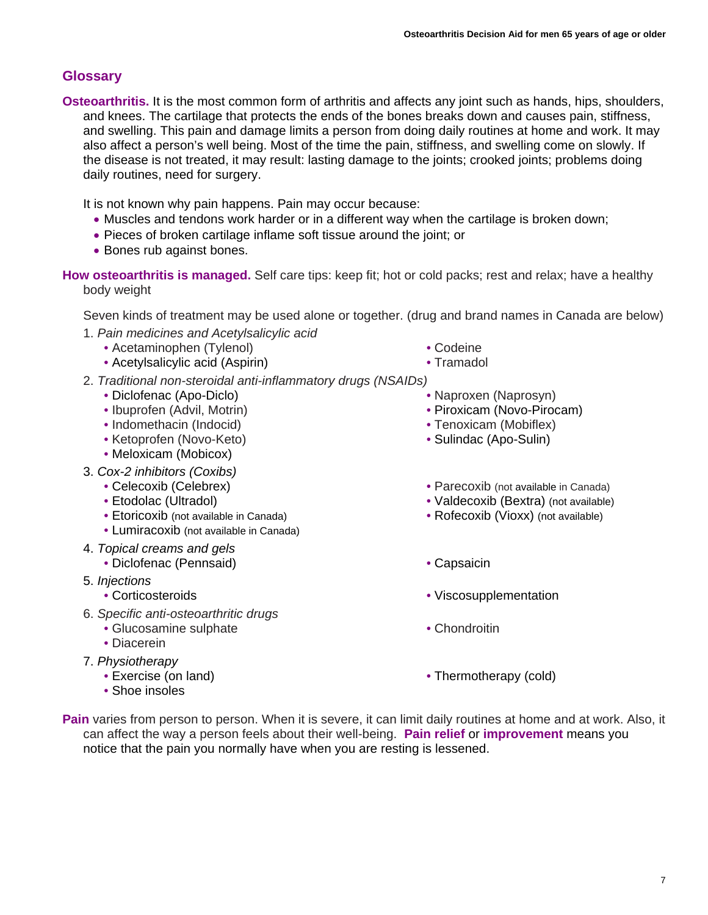# <span id="page-6-0"></span>**Glossary**

**Osteoarthritis.** It is the most common form of arthritis and affects any joint such as hands, hips, shoulders, and knees. The cartilage that protects the ends of the bones breaks down and causes pain, stiffness, and swelling. This pain and damage limits a person from doing daily routines at home and work. It may also affect a person's well being. Most of the time the pain, stiffness, and swelling come on slowly. If the disease is not treated, it may result: lasting damage to the joints; crooked joints; problems doing daily routines, need for surgery.

It is not known why pain happens. Pain may occur because:

- Muscles and tendons work harder or in a different way when the cartilage is broken down;
- Pieces of broken cartilage inflame soft tissue around the joint; or
- Bones rub against bones.

**How osteoarthritis is managed.** Self care tips: keep fit; hot or cold packs; rest and relax; have a healthy body weight

Seven kinds of treatment may be used alone or together. (drug and brand names in Canada are below)

- 1. *Pain medicines and Acetylsalicylic acid*
	- Acetaminophen (Tylenol)
	- Acetylsalicylic acid (Aspirin)
- 2. *Traditional non-steroidal anti-inflammatory drugs (NSAIDs)* 
	- Diclofenac (Apo-Diclo)
	- Ibuprofen (Advil, Motrin)
	- Indomethacin (Indocid)
	- Ketoprofen (Novo-Keto)
	- Meloxicam (Mobicox)
- 3. *Cox-2 inhibitors (Coxibs)*
	- Celecoxib (Celebrex)
	- Etodolac (Ultradol)
	- Etoricoxib (not available in Canada)
	- Lumiracoxib (not available in Canada)
- 4. *Topical creams and gels*
	- Diclofenac (Pennsaid) Capsaicin
- 5. *Injections*
	-
- 6. *Specific anti-osteoarthritic drugs*
	- Glucosamine sulphate
	- Diacerein
- 7. *Physiotherapy* 
	- Exercise (on land)
	- Shoe insoles
- Codeine
- Tramadol
- Naproxen (Naprosyn)
- 
- Piroxicam (Novo-Pirocam)
- Tenoxicam (Mobiflex)
- Sulindac (Apo-Sulin)
- Parecoxib (not available in Canada)
- Valdecoxib (Bextra) (not available)
- Rofecoxib (Vioxx) (not available)
- 
- Corticosteroids Viscosupplementation
	- Chondroitin
	- Thermotherapy (cold)
- **Pain** varies from person to person. When it is severe, it can limit daily routines at home and at work. Also, it can affect the way a person feels about their well-being. **Pain relief** or **improvement** means you notice that the pain you normally have when you are resting is lessened.